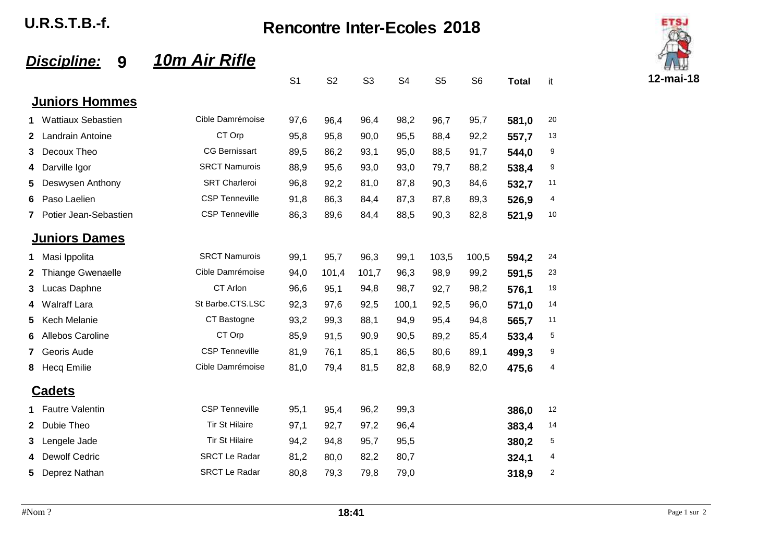U.R.S.T.B.-f. Rencontre Inter-Ecoles **2018**

#### *Discipline:* **9** *10m Air Rifle*

|              |                           |                       | S <sub>1</sub> | S <sub>2</sub> | S <sub>3</sub> | S <sub>4</sub> | S <sub>5</sub> | S <sub>6</sub> | <b>Total</b> | it |
|--------------|---------------------------|-----------------------|----------------|----------------|----------------|----------------|----------------|----------------|--------------|----|
|              | <b>Juniors Hommes</b>     |                       |                |                |                |                |                |                |              |    |
| 1            | <b>Wattiaux Sebastien</b> | Cible Damrémoise      | 97,6           | 96,4           | 96,4           | 98,2           | 96,7           | 95,7           | 581,0        | 20 |
| $\mathbf{2}$ | Landrain Antoine          | CT Orp                | 95,8           | 95,8           | 90,0           | 95,5           | 88,4           | 92,2           | 557,7        | 13 |
| 3            | Decoux Theo               | <b>CG Bernissart</b>  | 89,5           | 86,2           | 93,1           | 95,0           | 88,5           | 91,7           | 544,0        | 9  |
| 4            | Darville Igor             | <b>SRCT Namurois</b>  | 88,9           | 95,6           | 93,0           | 93,0           | 79,7           | 88,2           | 538,4        | 9  |
| 5            | Deswysen Anthony          | <b>SRT Charleroi</b>  | 96,8           | 92,2           | 81,0           | 87,8           | 90,3           | 84,6           | 532,7        | 11 |
| 6            | Paso Laelien              | <b>CSP Tenneville</b> | 91,8           | 86,3           | 84,4           | 87,3           | 87,8           | 89,3           | 526,9        | 4  |
| $\mathbf{7}$ | Potier Jean-Sebastien     | <b>CSP Tenneville</b> | 86,3           | 89,6           | 84,4           | 88,5           | 90,3           | 82,8           | 521,9        | 10 |
|              | <b>Juniors Dames</b>      |                       |                |                |                |                |                |                |              |    |
| 1.           | Masi Ippolita             | <b>SRCT Namurois</b>  | 99,1           | 95,7           | 96,3           | 99,1           | 103,5          | 100,5          | 594,2        | 24 |
| 2            | <b>Thiange Gwenaelle</b>  | Cible Damrémoise      | 94,0           | 101,4          | 101,7          | 96,3           | 98,9           | 99,2           | 591,5        | 23 |
| 3            | Lucas Daphne              | CT Arlon              | 96,6           | 95,1           | 94,8           | 98,7           | 92,7           | 98,2           | 576,1        | 19 |
| 4            | <b>Walraff Lara</b>       | St Barbe.CTS.LSC      | 92,3           | 97,6           | 92,5           | 100,1          | 92,5           | 96,0           | 571,0        | 14 |
| 5            | Kech Melanie              | CT Bastogne           | 93,2           | 99,3           | 88,1           | 94,9           | 95,4           | 94,8           | 565,7        | 11 |
| 6            | Allebos Caroline          | CT Orp                | 85,9           | 91,5           | 90,9           | 90,5           | 89,2           | 85,4           | 533,4        | 5  |
| 7            | Georis Aude               | <b>CSP Tenneville</b> | 81,9           | 76,1           | 85,1           | 86,5           | 80,6           | 89,1           | 499.3        | 9  |
| 8            | <b>Hecq Emilie</b>        | Cible Damrémoise      | 81,0           | 79,4           | 81,5           | 82,8           | 68,9           | 82,0           | 475,6        | 4  |
|              | <b>Cadets</b>             |                       |                |                |                |                |                |                |              |    |
| 1.           | <b>Fautre Valentin</b>    | <b>CSP Tenneville</b> | 95,1           | 95,4           | 96,2           | 99,3           |                |                | 386,0        | 12 |
| $\mathbf{2}$ | Dubie Theo                | <b>Tir St Hilaire</b> | 97,1           | 92,7           | 97,2           | 96,4           |                |                | 383,4        | 14 |
| 3            | Lengele Jade              | <b>Tir St Hilaire</b> | 94,2           | 94,8           | 95,7           | 95,5           |                |                | 380,2        | 5  |
| 4            | <b>Dewolf Cedric</b>      | <b>SRCT Le Radar</b>  | 81,2           | 80,0           | 82,2           | 80,7           |                |                | 324,1        | 4  |
| 5            | Deprez Nathan             | <b>SRCT Le Radar</b>  | 80,8           | 79,3           | 79,8           | 79,0           |                |                | 318,9        | 2  |
|              |                           |                       |                |                |                |                |                |                |              |    |

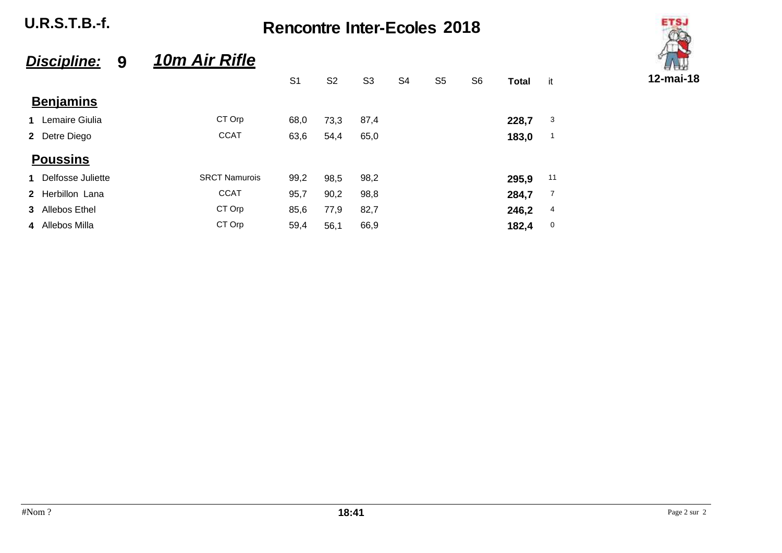U.R.S.T.B.-f. Rencontre Inter-Ecoles **2018**

# **ETS.** S1 S2 S3 S4 S5 S6 **Total** it **12-mai-18**

### *Discipline:* **9** *10m Air Rifle*

|             |                   |                      | S <sub>1</sub> | S <sub>2</sub> | S <sub>3</sub> | S <sub>4</sub> | S <sub>5</sub> | S <sub>6</sub> | Total | it             |
|-------------|-------------------|----------------------|----------------|----------------|----------------|----------------|----------------|----------------|-------|----------------|
|             | <b>Benjamins</b>  |                      |                |                |                |                |                |                |       |                |
| 1           | Lemaire Giulia    | CT Orp               | 68,0           | 73,3           | 87,4           |                |                |                | 228,7 | 3              |
|             | 2 Detre Diego     | <b>CCAT</b>          | 63,6           | 54,4           | 65,0           |                |                |                | 183,0 | $\mathbf 1$    |
|             | <b>Poussins</b>   |                      |                |                |                |                |                |                |       |                |
| $\mathbf 1$ | Delfosse Juliette | <b>SRCT Namurois</b> | 99,2           | 98,5           | 98,2           |                |                |                | 295,9 | 11             |
|             | 2 Herbillon Lana  | <b>CCAT</b>          | 95,7           | 90,2           | 98,8           |                |                |                | 284,7 | $\overline{7}$ |
|             | 3 Allebos Ethel   | CT Orp               | 85,6           | 77,9           | 82,7           |                |                |                | 246,2 | 4              |
|             | 4 Allebos Milla   | CT Orp               | 59,4           | 56,1           | 66,9           |                |                |                | 182,4 | 0              |